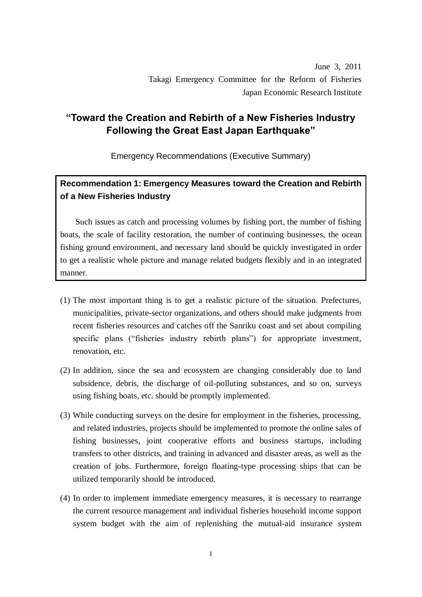June 3, 2011 Takagi Emergency Committee for the Reform of Fisheries Japan Economic Research Institute

# **"Toward the Creation and Rebirth of a New Fisheries Industry Following the Great East Japan Earthquake"**

Emergency Recommendations (Executive Summary)

## **Recommendation 1: Emergency Measures toward the Creation and Rebirth of a New Fisheries Industry**

Such issues as catch and processing volumes by fishing port, the number of fishing boats, the scale of facility restoration, the number of continuing businesses, the ocean fishing ground environment, and necessary land should be quickly investigated in order to get a realistic whole picture and manage related budgets flexibly and in an integrated manner.

- (1) The most important thing is to get a realistic picture of the situation. Prefectures, municipalities, private-sector organizations, and others should make judgments from recent fisheries resources and catches off the Sanriku coast and set about compiling specific plans ("fisheries industry rebirth plans") for appropriate investment, renovation, etc.
- (2) In addition, since the sea and ecosystem are changing considerably due to land subsidence, debris, the discharge of oil-polluting substances, and so on, surveys using fishing boats, etc. should be promptly implemented.
- (3) While conducting surveys on the desire for employment in the fisheries, processing, and related industries, projects should be implemented to promote the online sales of fishing businesses, joint cooperative efforts and business startups, including transfers to other districts, and training in advanced and disaster areas, as well as the creation of jobs. Furthermore, foreign floating-type processing ships that can be utilized temporarily should be introduced.
- (4) In order to implement immediate emergency measures, it is necessary to rearrange the current resource management and individual fisheries household income support system budget with the aim of replenishing the mutual-aid insurance system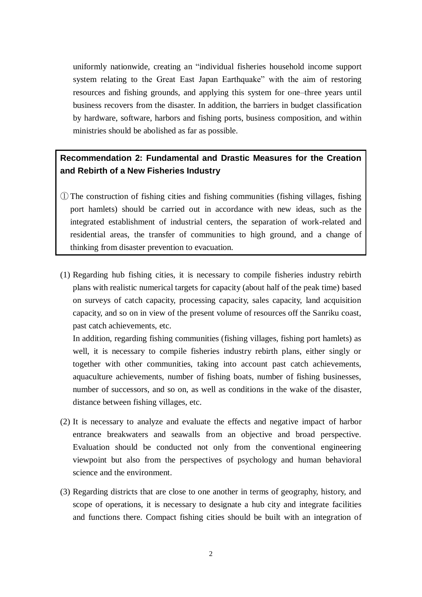uniformly nationwide, creating an "individual fisheries household income support system relating to the Great East Japan Earthquake" with the aim of restoring resources and fishing grounds, and applying this system for one–three years until business recovers from the disaster. In addition, the barriers in budget classification by hardware, software, harbors and fishing ports, business composition, and within ministries should be abolished as far as possible.

# **Recommendation 2: Fundamental and Drastic Measures for the Creation and Rebirth of a New Fisheries Industry**

- ① The construction of fishing cities and fishing communities (fishing villages, fishing port hamlets) should be carried out in accordance with new ideas, such as the integrated establishment of industrial centers, the separation of work-related and residential areas, the transfer of communities to high ground, and a change of thinking from disaster prevention to evacuation.
- (1) Regarding hub fishing cities, it is necessary to compile fisheries industry rebirth plans with realistic numerical targets for capacity (about half of the peak time) based on surveys of catch capacity, processing capacity, sales capacity, land acquisition capacity, and so on in view of the present volume of resources off the Sanriku coast, past catch achievements, etc.

In addition, regarding fishing communities (fishing villages, fishing port hamlets) as well, it is necessary to compile fisheries industry rebirth plans, either singly or together with other communities, taking into account past catch achievements, aquaculture achievements, number of fishing boats, number of fishing businesses, number of successors, and so on, as well as conditions in the wake of the disaster, distance between fishing villages, etc.

- (2) It is necessary to analyze and evaluate the effects and negative impact of harbor entrance breakwaters and seawalls from an objective and broad perspective. Evaluation should be conducted not only from the conventional engineering viewpoint but also from the perspectives of psychology and human behavioral science and the environment.
- (3) Regarding districts that are close to one another in terms of geography, history, and scope of operations, it is necessary to designate a hub city and integrate facilities and functions there. Compact fishing cities should be built with an integration of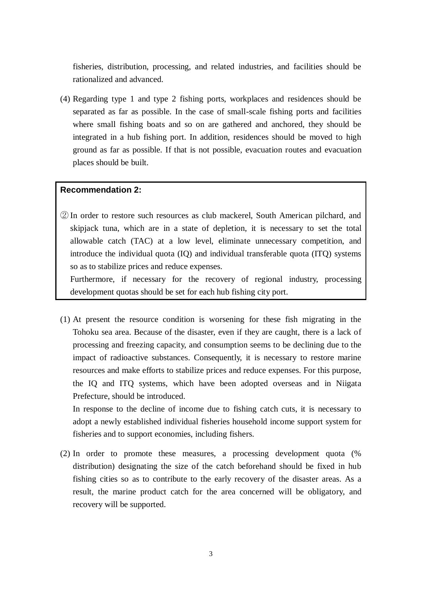fisheries, distribution, processing, and related industries, and facilities should be rationalized and advanced.

(4) Regarding type 1 and type 2 fishing ports, workplaces and residences should be separated as far as possible. In the case of small-scale fishing ports and facilities where small fishing boats and so on are gathered and anchored, they should be integrated in a hub fishing port. In addition, residences should be moved to high ground as far as possible. If that is not possible, evacuation routes and evacuation places should be built.

#### **Recommendation 2:**

② In order to restore such resources as club mackerel, South American pilchard, and skipjack tuna, which are in a state of depletion, it is necessary to set the total allowable catch (TAC) at a low level, eliminate unnecessary competition, and introduce the individual quota (IQ) and individual transferable quota (ITQ) systems so as to stabilize prices and reduce expenses.

Furthermore, if necessary for the recovery of regional industry, processing development quotas should be set for each hub fishing city port.

(1) At present the resource condition is worsening for these fish migrating in the Tohoku sea area. Because of the disaster, even if they are caught, there is a lack of processing and freezing capacity, and consumption seems to be declining due to the impact of radioactive substances. Consequently, it is necessary to restore marine resources and make efforts to stabilize prices and reduce expenses. For this purpose, the IQ and ITQ systems, which have been adopted overseas and in Niigata Prefecture, should be introduced.

In response to the decline of income due to fishing catch cuts, it is necessary to adopt a newly established individual fisheries household income support system for fisheries and to support economies, including fishers.

(2) In order to promote these measures, a processing development quota (% distribution) designating the size of the catch beforehand should be fixed in hub fishing cities so as to contribute to the early recovery of the disaster areas. As a result, the marine product catch for the area concerned will be obligatory, and recovery will be supported.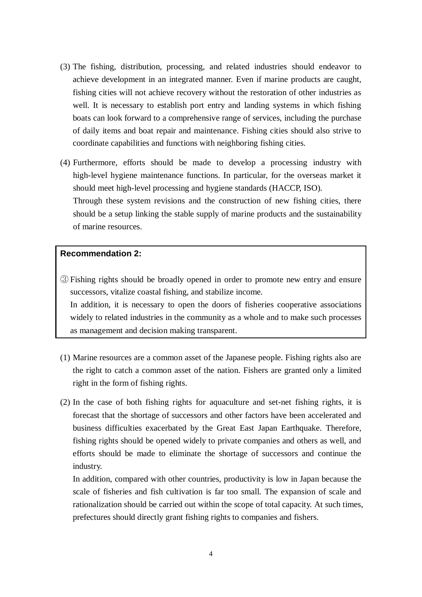- (3) The fishing, distribution, processing, and related industries should endeavor to achieve development in an integrated manner. Even if marine products are caught, fishing cities will not achieve recovery without the restoration of other industries as well. It is necessary to establish port entry and landing systems in which fishing boats can look forward to a comprehensive range of services, including the purchase of daily items and boat repair and maintenance. Fishing cities should also strive to coordinate capabilities and functions with neighboring fishing cities.
- (4) Furthermore, efforts should be made to develop a processing industry with high-level hygiene maintenance functions. In particular, for the overseas market it should meet high-level processing and hygiene standards (HACCP, ISO). Through these system revisions and the construction of new fishing cities, there should be a setup linking the stable supply of marine products and the sustainability of marine resources.

#### **Recommendation 2:**

- ③ Fishing rights should be broadly opened in order to promote new entry and ensure successors, vitalize coastal fishing, and stabilize income. In addition, it is necessary to open the doors of fisheries cooperative associations widely to related industries in the community as a whole and to make such processes as management and decision making transparent.
- (1) Marine resources are a common asset of the Japanese people. Fishing rights also are the right to catch a common asset of the nation. Fishers are granted only a limited right in the form of fishing rights.
- (2) In the case of both fishing rights for aquaculture and set-net fishing rights, it is forecast that the shortage of successors and other factors have been accelerated and business difficulties exacerbated by the Great East Japan Earthquake. Therefore, fishing rights should be opened widely to private companies and others as well, and efforts should be made to eliminate the shortage of successors and continue the industry.

In addition, compared with other countries, productivity is low in Japan because the scale of fisheries and fish cultivation is far too small. The expansion of scale and rationalization should be carried out within the scope of total capacity. At such times, prefectures should directly grant fishing rights to companies and fishers.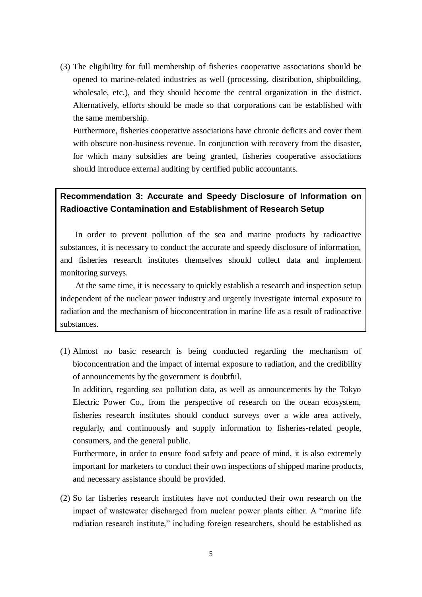(3) The eligibility for full membership of fisheries cooperative associations should be opened to marine-related industries as well (processing, distribution, shipbuilding, wholesale, etc.), and they should become the central organization in the district. Alternatively, efforts should be made so that corporations can be established with the same membership.

Furthermore, fisheries cooperative associations have chronic deficits and cover them with obscure non-business revenue. In conjunction with recovery from the disaster, for which many subsidies are being granted, fisheries cooperative associations should introduce external auditing by certified public accountants.

## **Recommendation 3: Accurate and Speedy Disclosure of Information on Radioactive Contamination and Establishment of Research Setup**

In order to prevent pollution of the sea and marine products by radioactive substances, it is necessary to conduct the accurate and speedy disclosure of information, and fisheries research institutes themselves should collect data and implement monitoring surveys.

At the same time, it is necessary to quickly establish a research and inspection setup independent of the nuclear power industry and urgently investigate internal exposure to radiation and the mechanism of bioconcentration in marine life as a result of radioactive substances.

(1) Almost no basic research is being conducted regarding the mechanism of bioconcentration and the impact of internal exposure to radiation, and the credibility of announcements by the government is doubtful.

In addition, regarding sea pollution data, as well as announcements by the Tokyo Electric Power Co., from the perspective of research on the ocean ecosystem, fisheries research institutes should conduct surveys over a wide area actively, regularly, and continuously and supply information to fisheries-related people, consumers, and the general public.

Furthermore, in order to ensure food safety and peace of mind, it is also extremely important for marketers to conduct their own inspections of shipped marine products, and necessary assistance should be provided.

(2) So far fisheries research institutes have not conducted their own research on the impact of wastewater discharged from nuclear power plants either. A "marine life radiation research institute," including foreign researchers, should be established as